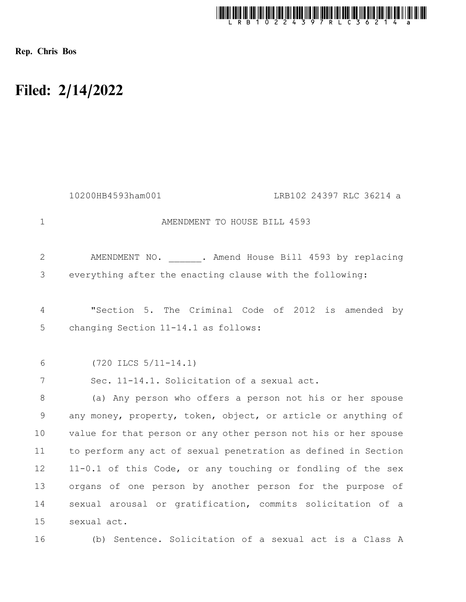

Rep. Chris Bos

## Filed: 2/14/2022

|                | 10200HB4593ham001<br>LRB102 24397 RLC 36214 a                   |
|----------------|-----------------------------------------------------------------|
| $\mathbf 1$    | AMENDMENT TO HOUSE BILL 4593                                    |
| $\overline{2}$ | AMENDMENT NO. . Amend House Bill 4593 by replacing              |
| 3              | everything after the enacting clause with the following:        |
| $\overline{4}$ | "Section 5. The Criminal Code of 2012 is amended by             |
| 5              | changing Section 11-14.1 as follows:                            |
| 6              | $(720$ ILCS $5/11-14.1)$                                        |
| 7              | Sec. 11-14.1. Solicitation of a sexual act.                     |
| 8              | (a) Any person who offers a person not his or her spouse        |
| 9              | any money, property, token, object, or article or anything of   |
| 10             | value for that person or any other person not his or her spouse |
| 11             | to perform any act of sexual penetration as defined in Section  |
| 12             | 11-0.1 of this Code, or any touching or fondling of the sex     |
| 13             | organs of one person by another person for the purpose of       |
| 14             | sexual arousal or gratification, commits solicitation of a      |
| 15             | sexual act.                                                     |
| 16             | (b) Sentence. Solicitation of a sexual act is a Class A         |